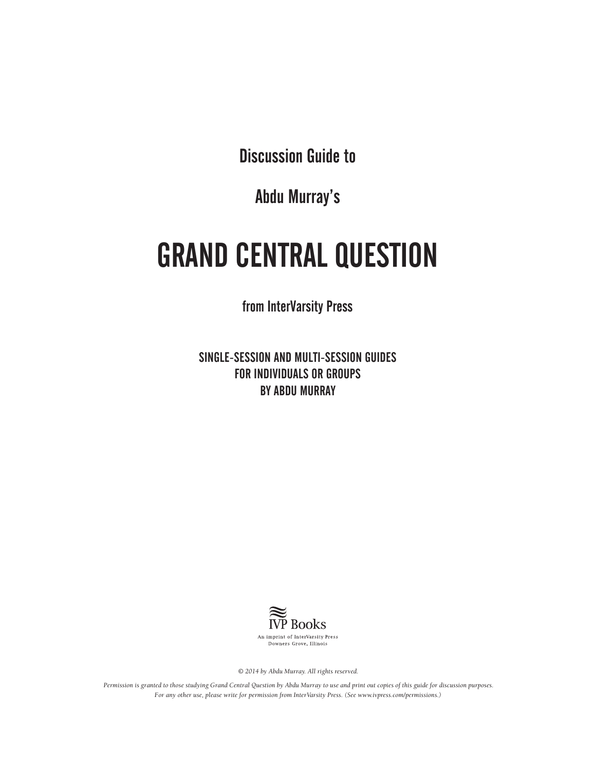Discussion Guide to

Abdu Murray's

# GRAND CENTRAL QUESTION

from InterVarsity Press

SINGLE-SESSION AND MULTI-SESSION GUIDES FOR INDIVIDUALS OR GROUPS BY ABDU MURRAY



*© 2014 by Abdu Murray. All rights reserved.* 

*Permission is granted to those studying Grand Central Question by Abdu Murray to use and print out copies of this guide for discussion purposes. For any other use, please write for permission from InterVarsity Press. (See www.ivpress.com/permissions.)*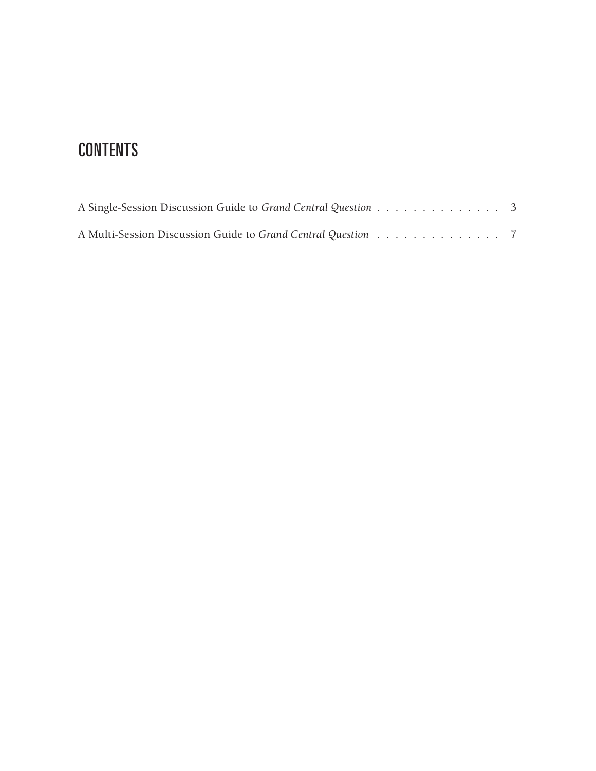# **CONTENTS**

| A Single-Session Discussion Guide to Grand Central Question 3 |  |  |  |  |  |  |  |  |
|---------------------------------------------------------------|--|--|--|--|--|--|--|--|
| A Multi-Session Discussion Guide to Grand Central Question 7  |  |  |  |  |  |  |  |  |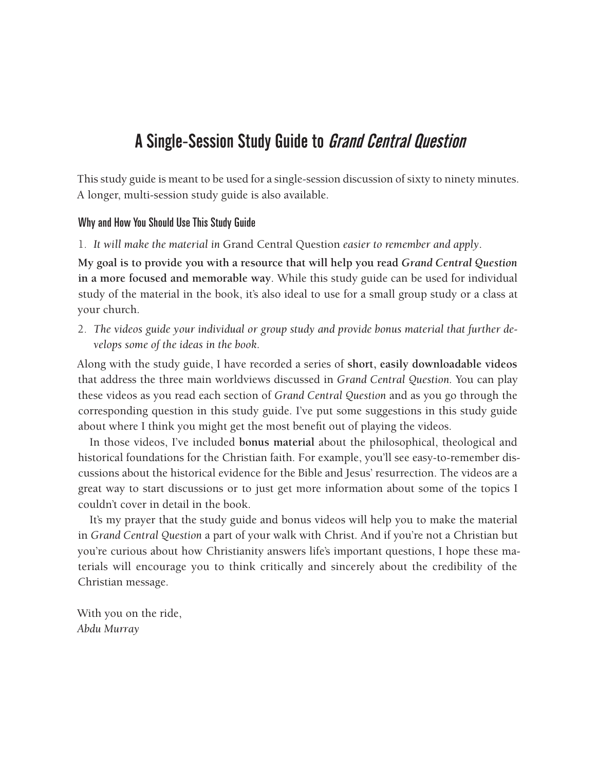# A Single-Session Study Guide to Grand Central Question

This study guide is meant to be used for a single-session discussion of sixty to ninety minutes. A longer, multi-session study guide is also available.

### Why and How You Should Use This Study Guide

1. *It will make the material in* Grand Central Question *easier to remember and apply*.

**My goal is to provide you with a resource that will help you read** *Grand Central Question*  **in a more focused and memorable way**. While this study guide can be used for individual study of the material in the book, it's also ideal to use for a small group study or a class at your church.

2. *The videos guide your individual or group study and provide bonus material that further develops some of the ideas in the book.*

Along with the study guide, I have recorded a series of **short, easily downloadable videos** that address the three main worldviews discussed in *Grand Central Question.* You can play these videos as you read each section of *Grand Central Question* and as you go through the corresponding question in this study guide. I've put some suggestions in this study guide about where I think you might get the most benefit out of playing the videos.

In those videos, I've included **bonus material** about the philosophical, theological and historical foundations for the Christian faith. For example, you'll see easy-to-remember discussions about the historical evidence for the Bible and Jesus' resurrection. The videos are a great way to start discussions or to just get more information about some of the topics I couldn't cover in detail in the book.

It's my prayer that the study guide and bonus videos will help you to make the material in *Grand Central Question* a part of your walk with Christ. And if you're not a Christian but you're curious about how Christianity answers life's important questions, I hope these materials will encourage you to think critically and sincerely about the credibility of the Christian message.

With you on the ride, *Abdu Murray*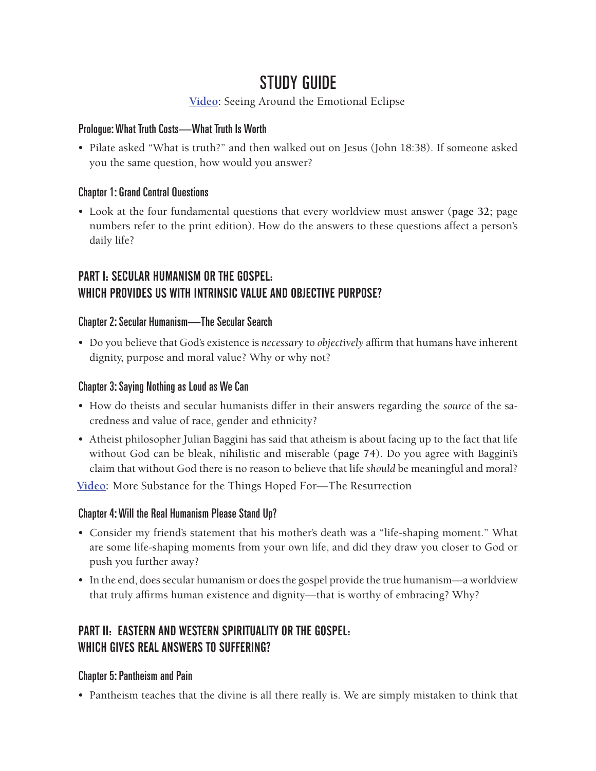# STUDY GUIDE

# **[Video](http://player.vimeo.com/video/90776165):** Seeing Around the Emotional Eclipse

### Prologue: What Truth Costs—What Truth Is Worth

• Pilate asked "What is truth?" and then walked out on Jesus (John 18:38). If someone asked you the same question, how would you answer?

### Chapter 1: Grand Central Questions

• Look at the four fundamental questions that every worldview must answer (**page 32;** page numbers refer to the print edition). How do the answers to these questions affect a person's daily life?

# PART I: SECULAR HUMANISM OR THE GOSPEL: WHICH PROVIDES US WITH INTRINSIC VALUE AND OBJECTIVE PURPOSE?

### Chapter 2: Secular Humanism—The Secular Search

• Do you believe that God's existence is *necessary* to *objectively* affirm that humans have inherent dignity, purpose and moral value? Why or why not?

### Chapter 3: Saying Nothing as Loud as We Can

- How do theists and secular humanists differ in their answers regarding the *source* of the sacredness and value of race, gender and ethnicity?
- Atheist philosopher Julian Baggini has said that atheism is about facing up to the fact that life without God can be bleak, nihilistic and miserable (**page 74**). Do you agree with Baggini's claim that without God there is no reason to believe that life *should* be meaningful and moral?

**[Video:](http://player.vimeo.com/video/90782089)** More Substance for the Things Hoped For—The Resurrection

# Chapter 4: Will the Real Humanism Please Stand Up?

- Consider my friend's statement that his mother's death was a "life-shaping moment." What are some life-shaping moments from your own life, and did they draw you closer to God or push you further away?
- In the end, does secular humanism or does the gospel provide the true humanism—a worldview that truly affirms human existence and dignity—that is worthy of embracing? Why?

# PART II: EASTERN AND WESTERN SPIRITUALITY OR THE GOSPEL: WHICH GIVES REAL ANSWERS TO SUFFERING?

### Chapter 5: Pantheism and Pain

• Pantheism teaches that the divine is all there really is. We are simply mistaken to think that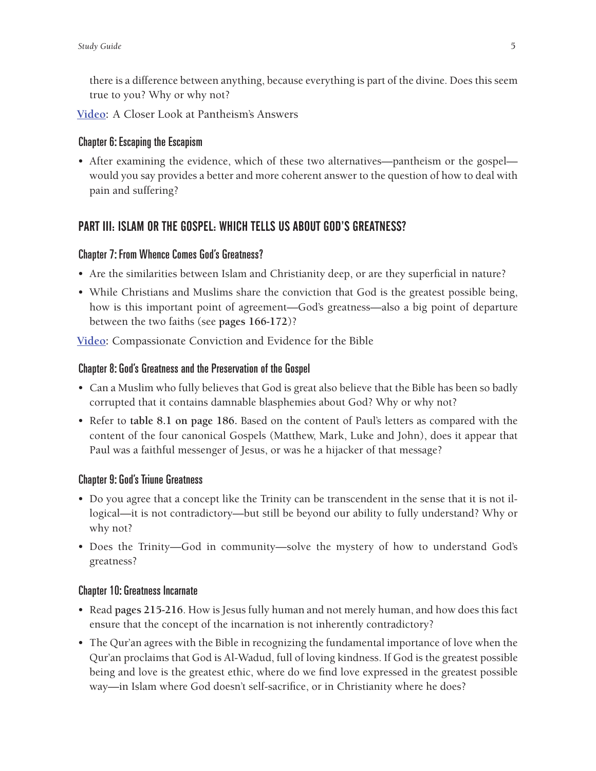there is a difference between anything, because everything is part of the divine. Does this seem true to you? Why or why not?

**[Video:](http://player.vimeo.com/video/90780179)** A Closer Look at Pantheism's Answers

### Chapter 6: Escaping the Escapism

• After examining the evidence, which of these two alternatives—pantheism or the gospel would you say provides a better and more coherent answer to the question of how to deal with pain and suffering?

# PART III: ISLAM OR THE GOSPEL: WHICH TELLS US ABOUT GOD'S GREATNESS?

### Chapter 7: From Whence Comes God's Greatness?

- Are the similarities between Islam and Christianity deep, or are they superficial in nature?
- While Christians and Muslims share the conviction that God is the greatest possible being, how is this important point of agreement—God's greatness—also a big point of departure between the two faiths (see **pages 166-172**)?

**[Video:](http://player.vimeo.com/video/91712859)** Compassionate Conviction and Evidence for the Bible

### Chapter 8: God's Greatness and the Preservation of the Gospel

- Can a Muslim who fully believes that God is great also believe that the Bible has been so badly corrupted that it contains damnable blasphemies about God? Why or why not?
- Refer to **table 8.1 on page 186.** Based on the content of Paul's letters as compared with the content of the four canonical Gospels (Matthew, Mark, Luke and John), does it appear that Paul was a faithful messenger of Jesus, or was he a hijacker of that message?

### Chapter 9: God's Triune Greatness

- Do you agree that a concept like the Trinity can be transcendent in the sense that it is not illogical—it is not contradictory—but still be beyond our ability to fully understand? Why or why not?
- Does the Trinity—God in community—solve the mystery of how to understand God's greatness?

### Chapter 10: Greatness Incarnate

- Read **pages 215-216**. How is Jesus fully human and not merely human, and how does this fact ensure that the concept of the incarnation is not inherently contradictory?
- The Qur'an agrees with the Bible in recognizing the fundamental importance of love when the Qur'an proclaims that God is Al-Wadud, full of loving kindness. If God is the greatest possible being and love is the greatest ethic, where do we find love expressed in the greatest possible way—in Islam where God doesn't self-sacrifice, or in Christianity where he does?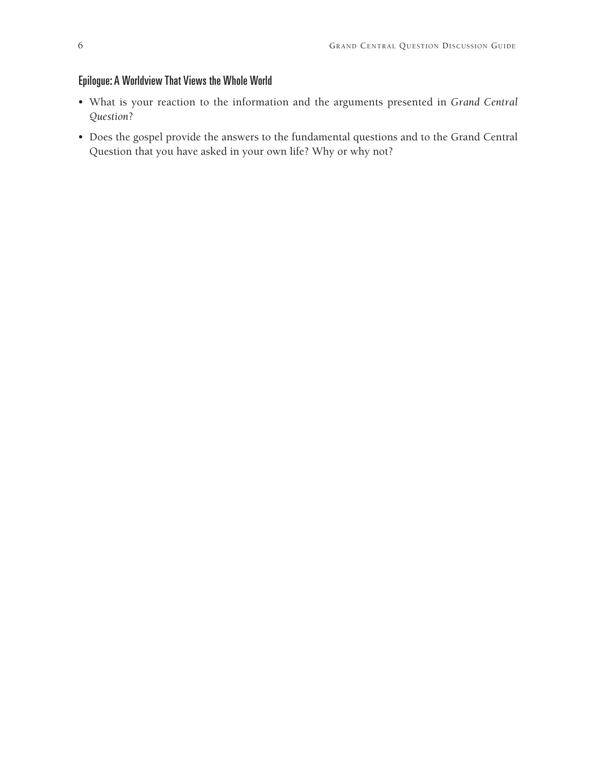### Epilogue: A Worldview That Views the Whole World

- What is your reaction to the information and the arguments presented in *Grand Central Question*?
- Does the gospel provide the answers to the fundamental questions and to the Grand Central Question that you have asked in your own life? Why or why not?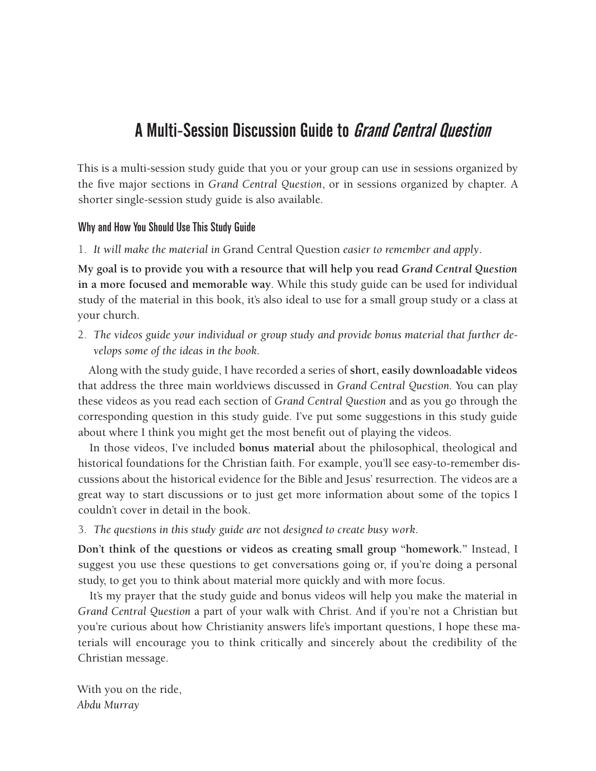# A Multi-Session Discussion Guide to Grand Central Question

This is a multi-session study guide that you or your group can use in sessions organized by the five major sections in *Grand Central Question*, or in sessions organized by chapter. A shorter single-session study guide is also available.

### Why and How You Should Use This Study Guide

1. *It will make the material in* Grand Central Question *easier to remember and apply*.

**My goal is to provide you with a resource that will help you read** *Grand Central Question*  **in a more focused and memorable way***.* While this study guide can be used for individual study of the material in this book, it's also ideal to use for a small group study or a class at your church.

2. *The videos guide your individual or group study and provide bonus material that further develops some of the ideas in the book.*

Along with the study guide, I have recorded a series of **short, easily downloadable videos** that address the three main worldviews discussed in *Grand Central Question.* You can play these videos as you read each section of *Grand Central Question* and as you go through the corresponding question in this study guide. I've put some suggestions in this study guide about where I think you might get the most benefit out of playing the videos.

In those videos, I've included **bonus material** about the philosophical, theological and historical foundations for the Christian faith. For example, you'll see easy-to-remember discussions about the historical evidence for the Bible and Jesus' resurrection. The videos are a great way to start discussions or to just get more information about some of the topics I couldn't cover in detail in the book.

3. *The questions in this study guide are* not *designed to create busy work.*

**Don't think of the questions or videos as creating small group "homework."** Instead, I suggest you use these questions to get conversations going or, if you're doing a personal study, to get you to think about material more quickly and with more focus.

It's my prayer that the study guide and bonus videos will help you make the material in *Grand Central Question* a part of your walk with Christ. And if you're not a Christian but you're curious about how Christianity answers life's important questions, I hope these materials will encourage you to think critically and sincerely about the credibility of the Christian message.

With you on the ride, *Abdu Murray*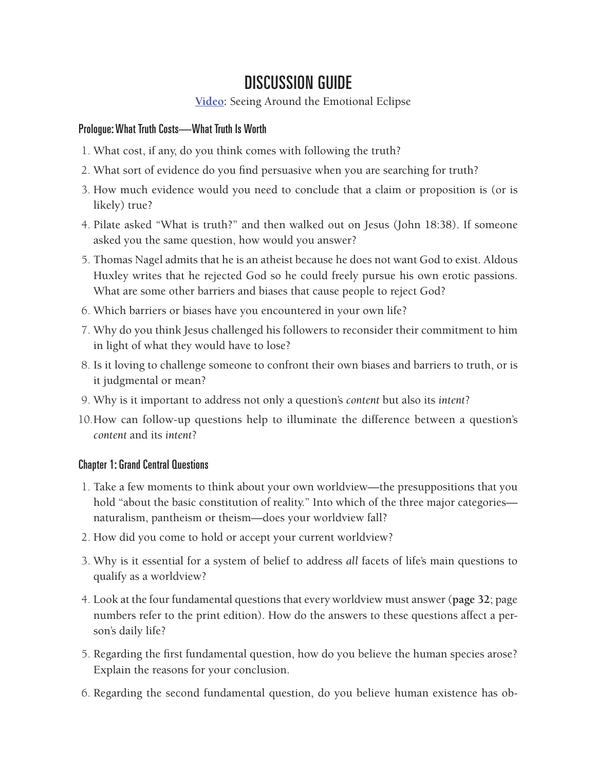# DISCUSSION GUIDE

**[Video](http://player.vimeo.com/video/90776165):** Seeing Around the Emotional Eclipse

### Prologue: What Truth Costs—What Truth Is Worth

- 1. What cost, if any, do you think comes with following the truth?
- 2. What sort of evidence do you find persuasive when you are searching for truth?
- 3. How much evidence would you need to conclude that a claim or proposition is (or is likely) true?
- 4. Pilate asked "What is truth?" and then walked out on Jesus (John 18:38). If someone asked you the same question, how would you answer?
- 5. Thomas Nagel admits that he is an atheist because he does not want God to exist. Aldous Huxley writes that he rejected God so he could freely pursue his own erotic passions. What are some other barriers and biases that cause people to reject God?
- 6. Which barriers or biases have you encountered in your own life?
- 7. Why do you think Jesus challenged his followers to reconsider their commitment to him in light of what they would have to lose?
- 8. Is it loving to challenge someone to confront their own biases and barriers to truth, or is it judgmental or mean?
- 9. Why is it important to address not only a question's *content* but also its *intent*?
- 10.How can follow-up questions help to illuminate the difference between a question's *content* and its *intent*?

# Chapter 1: Grand Central Questions

- 1. Take a few moments to think about your own worldview—the presuppositions that you hold "about the basic constitution of reality." Into which of the three major categories naturalism, pantheism or theism—does your worldview fall?
- 2. How did you come to hold or accept your current worldview?
- 3. Why is it essential for a system of belief to address *all* facets of life's main questions to qualify as a worldview?
- 4. Look at the four fundamental questions that every worldview must answer (**page 32**; page numbers refer to the print edition). How do the answers to these questions affect a person's daily life?
- 5. Regarding the first fundamental question, how do you believe the human species arose? Explain the reasons for your conclusion.
- 6. Regarding the second fundamental question, do you believe human existence has ob-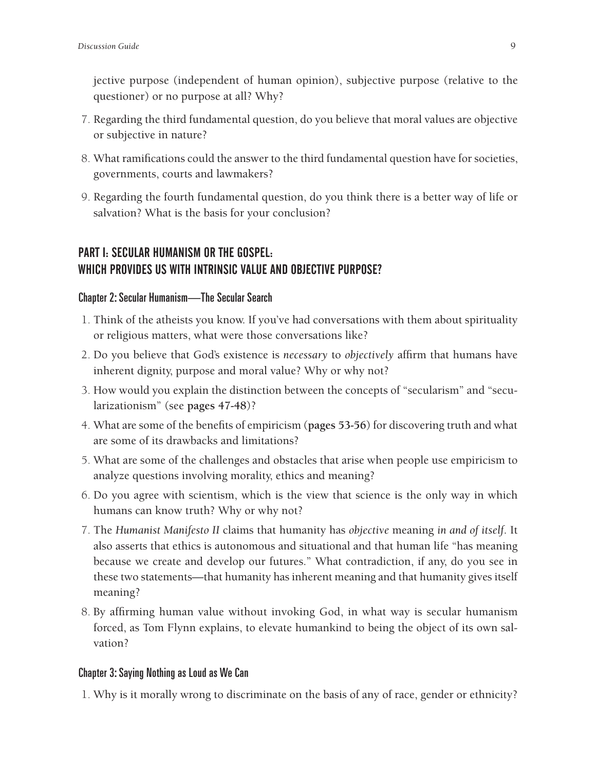jective purpose (independent of human opinion), subjective purpose (relative to the questioner) or no purpose at all? Why?

- 7. Regarding the third fundamental question, do you believe that moral values are objective or subjective in nature?
- 8. What ramifications could the answer to the third fundamental question have for societies, governments, courts and lawmakers?
- 9. Regarding the fourth fundamental question, do you think there is a better way of life or salvation? What is the basis for your conclusion?

# PART I: SECULAR HUMANISM OR THE GOSPEL: WHICH PROVIDES US WITH INTRINSIC VALUE AND OBJECTIVE PURPOSE?

### Chapter 2: Secular Humanism—The Secular Search

- 1. Think of the atheists you know. If you've had conversations with them about spirituality or religious matters, what were those conversations like?
- 2. Do you believe that God's existence is *necessary* to *objectively* affirm that humans have inherent dignity, purpose and moral value? Why or why not?
- 3. How would you explain the distinction between the concepts of "secularism" and "secularizationism" (see **pages 47-48**)?
- 4. What are some of the benefits of empiricism (**pages 53-56**) for discovering truth and what are some of its drawbacks and limitations?
- 5. What are some of the challenges and obstacles that arise when people use empiricism to analyze questions involving morality, ethics and meaning?
- 6. Do you agree with scientism, which is the view that science is the only way in which humans can know truth? Why or why not?
- 7. The *Humanist Manifesto II* claims that humanity has *objective* meaning *in and of itself*. It also asserts that ethics is autonomous and situational and that human life "has meaning because we create and develop our futures." What contradiction, if any, do you see in these two statements—that humanity has inherent meaning and that humanity gives itself meaning?
- 8. By affirming human value without invoking God, in what way is secular humanism forced, as Tom Flynn explains, to elevate humankind to being the object of its own salvation?

### Chapter 3: Saying Nothing as Loud as We Can

1. Why is it morally wrong to discriminate on the basis of any of race, gender or ethnicity?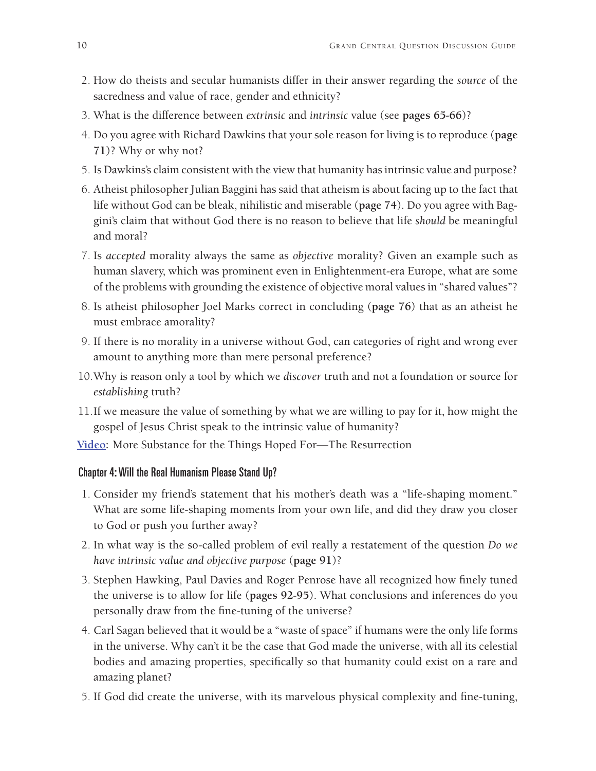- 2. How do theists and secular humanists differ in their answer regarding the *source* of the sacredness and value of race, gender and ethnicity?
- 3. What is the difference between *extrinsic* and *intrinsic* value (see **pages 65-66**)?
- 4. Do you agree with Richard Dawkins that your sole reason for living is to reproduce (**page 71**)? Why or why not?
- 5. Is Dawkins's claim consistent with the view that humanity has intrinsic value and purpose?
- 6. Atheist philosopher Julian Baggini has said that atheism is about facing up to the fact that life without God can be bleak, nihilistic and miserable (**page 74**). Do you agree with Baggini's claim that without God there is no reason to believe that life *should* be meaningful and moral?
- 7. Is *accepted* morality always the same as *objective* morality? Given an example such as human slavery, which was prominent even in Enlightenment-era Europe, what are some of the problems with grounding the existence of objective moral values in "shared values"?
- 8. Is atheist philosopher Joel Marks correct in concluding (**page 76**) that as an atheist he must embrace amorality?
- 9. If there is no morality in a universe without God, can categories of right and wrong ever amount to anything more than mere personal preference?
- 10.Why is reason only a tool by which we *discover* truth and not a foundation or source for *establishing* truth?
- 11.If we measure the value of something by what we are willing to pay for it, how might the gospel of Jesus Christ speak to the intrinsic value of humanity?
- **[Video:](http://player.vimeo.com/video/90782089)** More Substance for the Things Hoped For—The Resurrection

### Chapter 4: Will the Real Humanism Please Stand Up?

- 1. Consider my friend's statement that his mother's death was a "life-shaping moment." What are some life-shaping moments from your own life, and did they draw you closer to God or push you further away?
- 2. In what way is the so-called problem of evil really a restatement of the question *Do we have intrinsic value and objective purpose* (**page 91**)?
- 3. Stephen Hawking, Paul Davies and Roger Penrose have all recognized how finely tuned the universe is to allow for life (**pages 92-95**). What conclusions and inferences do you personally draw from the fine-tuning of the universe?
- 4. Carl Sagan believed that it would be a "waste of space" if humans were the only life forms in the universe. Why can't it be the case that God made the universe, with all its celestial bodies and amazing properties, specifically so that humanity could exist on a rare and amazing planet?
- 5. If God did create the universe, with its marvelous physical complexity and fine-tuning,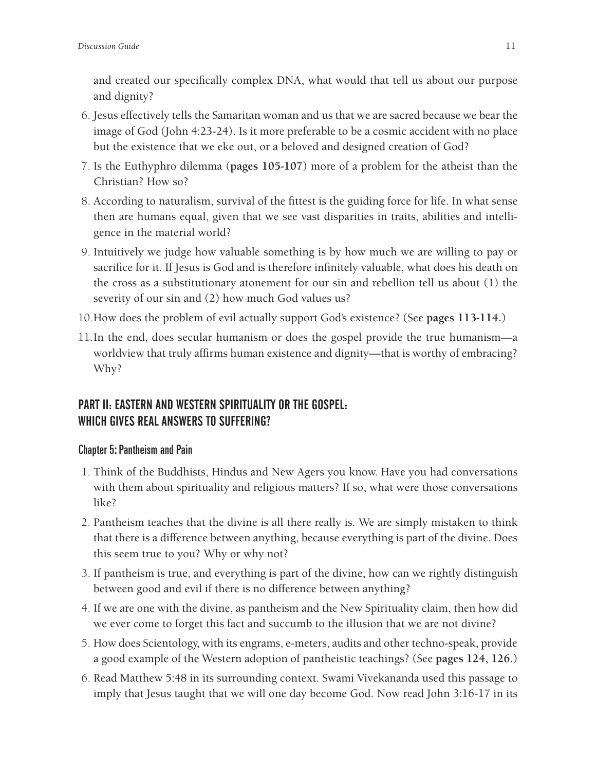and created our specifically complex DNA, what would that tell us about our purpose and dignity?

- 6. Jesus effectively tells the Samaritan woman and us that we are sacred because we bear the image of God (John 4:23-24). Is it more preferable to be a cosmic accident with no place but the existence that we eke out, or a beloved and designed creation of God?
- 7. Is the Euthyphro dilemma (**pages 105-107**) more of a problem for the atheist than the Christian? How so?
- 8. According to naturalism, survival of the fittest is the guiding force for life. In what sense then are humans equal, given that we see vast disparities in traits, abilities and intelligence in the material world?
- 9. Intuitively we judge how valuable something is by how much we are willing to pay or sacrifice for it. If Jesus is God and is therefore infinitely valuable, what does his death on the cross as a substitutionary atonement for our sin and rebellion tell us about (1) the severity of our sin and (2) how much God values us?
- 10.How does the problem of evil actually support God's existence? (See **pages 113-114.**)
- 11.In the end, does secular humanism or does the gospel provide the true humanism—a worldview that truly affirms human existence and dignity—that is worthy of embracing? Why?

# PART II: EASTERN AND WESTERN SPIRITUALITY OR THE GOSPEL: WHICH GIVES REAL ANSWERS TO SUFFERING?

### Chapter 5: Pantheism and Pain

- 1. Think of the Buddhists, Hindus and New Agers you know. Have you had conversations with them about spirituality and religious matters? If so, what were those conversations like?
- 2. Pantheism teaches that the divine is all there really is. We are simply mistaken to think that there is a difference between anything, because everything is part of the divine. Does this seem true to you? Why or why not?
- 3. If pantheism is true, and everything is part of the divine, how can we rightly distinguish between good and evil if there is no difference between anything?
- 4. If we are one with the divine, as pantheism and the New Spirituality claim, then how did we ever come to forget this fact and succumb to the illusion that we are not divine?
- 5. How does Scientology, with its engrams, e-meters, audits and other techno-speak, provide a good example of the Western adoption of pantheistic teachings? (See **pages 124, 126.**)
- 6. Read Matthew 5:48 in its surrounding context. Swami Vivekananda used this passage to imply that Jesus taught that we will one day become God. Now read John 3:16-17 in its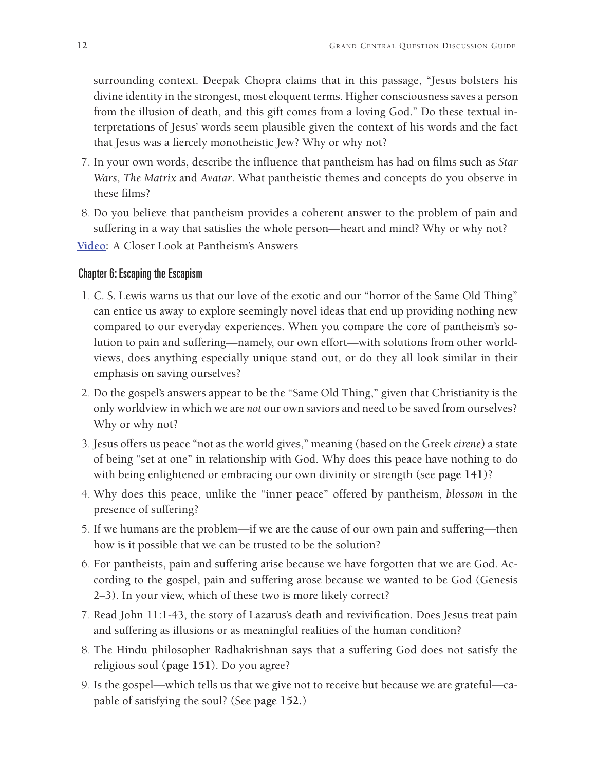surrounding context. Deepak Chopra claims that in this passage, "Jesus bolsters his divine identity in the strongest, most eloquent terms. Higher consciousness saves a person from the illusion of death, and this gift comes from a loving God." Do these textual interpretations of Jesus' words seem plausible given the context of his words and the fact that Jesus was a fiercely monotheistic Jew? Why or why not?

- 7. In your own words, describe the influence that pantheism has had on films such as *Star Wars*, *The Matrix* and *Avatar*. What pantheistic themes and concepts do you observe in these films?
- 8. Do you believe that pantheism provides a coherent answer to the problem of pain and suffering in a way that satisfies the whole person—heart and mind? Why or why not?
- **[Video:](http://player.vimeo.com/video/90780179)** A Closer Look at Pantheism's Answers

### Chapter 6: Escaping the Escapism

- 1. C. S. Lewis warns us that our love of the exotic and our "horror of the Same Old Thing" can entice us away to explore seemingly novel ideas that end up providing nothing new compared to our everyday experiences. When you compare the core of pantheism's solution to pain and suffering—namely, our own effort—with solutions from other worldviews, does anything especially unique stand out, or do they all look similar in their emphasis on saving ourselves?
- 2. Do the gospel's answers appear to be the "Same Old Thing," given that Christianity is the only worldview in which we are *not* our own saviors and need to be saved from ourselves? Why or why not?
- 3. Jesus offers us peace "not as the world gives," meaning (based on the Greek *eirene*) a state of being "set at one" in relationship with God. Why does this peace have nothing to do with being enlightened or embracing our own divinity or strength (see **page 141**)?
- 4. Why does this peace, unlike the "inner peace" offered by pantheism, *blossom* in the presence of suffering?
- 5. If we humans are the problem—if we are the cause of our own pain and suffering—then how is it possible that we can be trusted to be the solution?
- 6. For pantheists, pain and suffering arise because we have forgotten that we are God. According to the gospel, pain and suffering arose because we wanted to be God (Genesis 2–3). In your view, which of these two is more likely correct?
- 7. Read John 11:1-43, the story of Lazarus's death and revivification. Does Jesus treat pain and suffering as illusions or as meaningful realities of the human condition?
- 8. The Hindu philosopher Radhakrishnan says that a suffering God does not satisfy the religious soul (**page 151**). Do you agree?
- 9. Is the gospel—which tells us that we give not to receive but because we are grateful—capable of satisfying the soul? (See **page 152.**)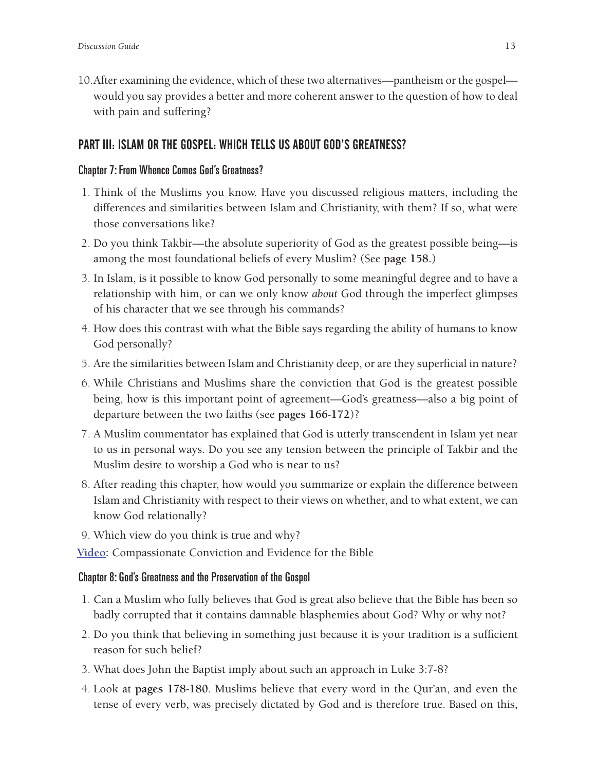10.After examining the evidence, which of these two alternatives—pantheism or the gospel would you say provides a better and more coherent answer to the question of how to deal with pain and suffering?

### PART III: ISLAM OR THE GOSPEL: WHICH TELLS US ABOUT GOD'S GREATNESS?

#### Chapter 7: From Whence Comes God's Greatness?

- 1. Think of the Muslims you know. Have you discussed religious matters, including the differences and similarities between Islam and Christianity, with them? If so, what were those conversations like?
- 2. Do you think Takbir—the absolute superiority of God as the greatest possible being—is among the most foundational beliefs of every Muslim? (See **page 158.**)
- 3. In Islam, is it possible to know God personally to some meaningful degree and to have a relationship with him, or can we only know *about* God through the imperfect glimpses of his character that we see through his commands?
- 4. How does this contrast with what the Bible says regarding the ability of humans to know God personally?
- 5. Are the similarities between Islam and Christianity deep, or are they superficial in nature?
- 6. While Christians and Muslims share the conviction that God is the greatest possible being, how is this important point of agreement—God's greatness—also a big point of departure between the two faiths (see **pages 166-172**)?
- 7. A Muslim commentator has explained that God is utterly transcendent in Islam yet near to us in personal ways. Do you see any tension between the principle of Takbir and the Muslim desire to worship a God who is near to us?
- 8. After reading this chapter, how would you summarize or explain the difference between Islam and Christianity with respect to their views on whether, and to what extent, we can know God relationally?
- 9. Which view do you think is true and why?

**[Video:](http://player.vimeo.com/video/91712859)** Compassionate Conviction and Evidence for the Bible

### Chapter 8: God's Greatness and the Preservation of the Gospel

- 1. Can a Muslim who fully believes that God is great also believe that the Bible has been so badly corrupted that it contains damnable blasphemies about God? Why or why not?
- 2. Do you think that believing in something just because it is your tradition is a sufficient reason for such belief?
- 3. What does John the Baptist imply about such an approach in Luke 3:7-8?
- 4. Look at **pages 178-180**. Muslims believe that every word in the Qur'an, and even the tense of every verb, was precisely dictated by God and is therefore true. Based on this,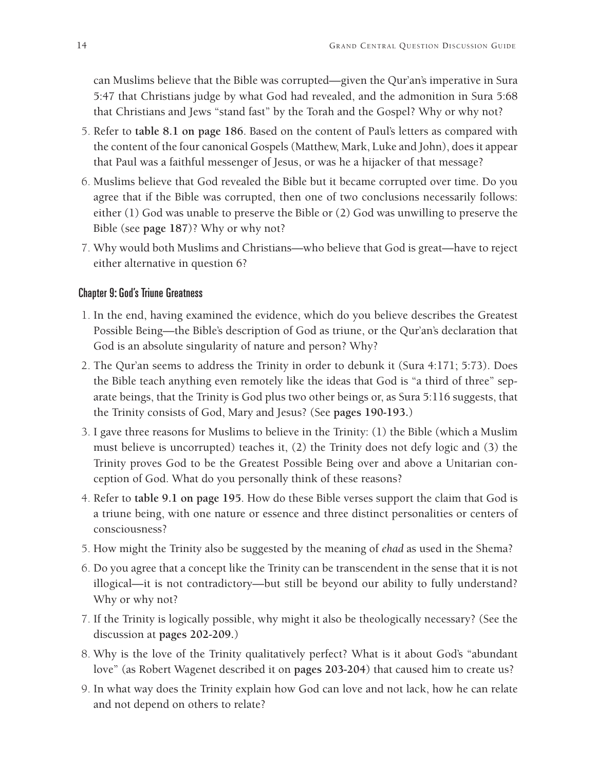can Muslims believe that the Bible was corrupted—given the Qur'an's imperative in Sura 5:47 that Christians judge by what God had revealed, and the admonition in Sura 5:68 that Christians and Jews "stand fast" by the Torah and the Gospel? Why or why not?

- 5. Refer to **table 8.1 on page 186**. Based on the content of Paul's letters as compared with the content of the four canonical Gospels (Matthew, Mark, Luke and John), does it appear that Paul was a faithful messenger of Jesus, or was he a hijacker of that message?
- 6. Muslims believe that God revealed the Bible but it became corrupted over time. Do you agree that if the Bible was corrupted, then one of two conclusions necessarily follows: either (1) God was unable to preserve the Bible or (2) God was unwilling to preserve the Bible (see **page 187**)? Why or why not?
- 7. Why would both Muslims and Christians—who believe that God is great—have to reject either alternative in question 6?

#### Chapter 9: God's Triune Greatness

- 1. In the end, having examined the evidence, which do you believe describes the Greatest Possible Being—the Bible's description of God as triune, or the Qur'an's declaration that God is an absolute singularity of nature and person? Why?
- 2. The Qur'an seems to address the Trinity in order to debunk it (Sura 4:171; 5:73). Does the Bible teach anything even remotely like the ideas that God is "a third of three" separate beings, that the Trinity is God plus two other beings or, as Sura 5:116 suggests, that the Trinity consists of God, Mary and Jesus? (See **pages 190-193.**)
- 3. I gave three reasons for Muslims to believe in the Trinity: (1) the Bible (which a Muslim must believe is uncorrupted) teaches it, (2) the Trinity does not defy logic and (3) the Trinity proves God to be the Greatest Possible Being over and above a Unitarian conception of God. What do you personally think of these reasons?
- 4. Refer to **table 9.1 on page 195**. How do these Bible verses support the claim that God is a triune being, with one nature or essence and three distinct personalities or centers of consciousness?
- 5. How might the Trinity also be suggested by the meaning of *ehad* as used in the Shema?
- 6. Do you agree that a concept like the Trinity can be transcendent in the sense that it is not illogical—it is not contradictory—but still be beyond our ability to fully understand? Why or why not?
- 7. If the Trinity is logically possible, why might it also be theologically necessary? (See the discussion at **pages 202-209.**)
- 8. Why is the love of the Trinity qualitatively perfect? What is it about God's "abundant love" (as Robert Wagenet described it on **pages 203-204**) that caused him to create us?
- 9. In what way does the Trinity explain how God can love and not lack, how he can relate and not depend on others to relate?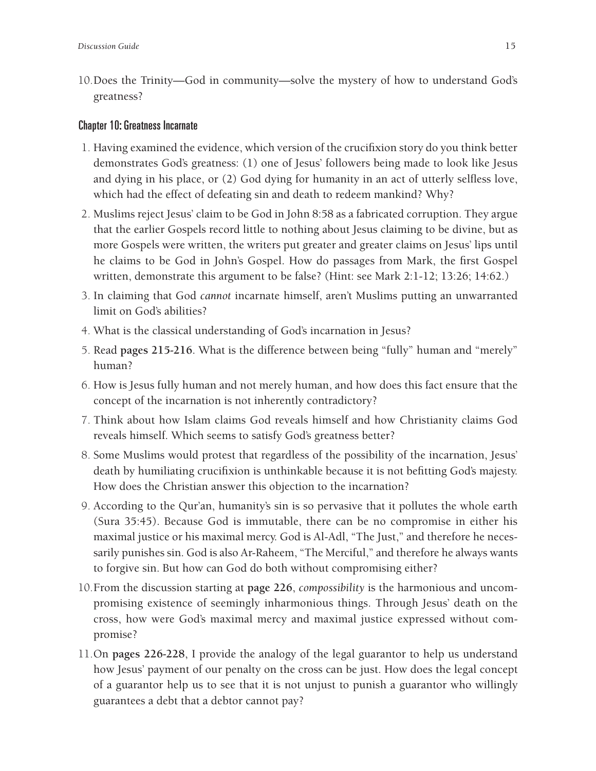10.Does the Trinity—God in community—solve the mystery of how to understand God's greatness?

#### Chapter 10: Greatness Incarnate

- 1. Having examined the evidence, which version of the crucifixion story do you think better demonstrates God's greatness: (1) one of Jesus' followers being made to look like Jesus and dying in his place, or (2) God dying for humanity in an act of utterly selfless love, which had the effect of defeating sin and death to redeem mankind? Why?
- 2. Muslims reject Jesus' claim to be God in John 8:58 as a fabricated corruption. They argue that the earlier Gospels record little to nothing about Jesus claiming to be divine, but as more Gospels were written, the writers put greater and greater claims on Jesus' lips until he claims to be God in John's Gospel. How do passages from Mark, the first Gospel written, demonstrate this argument to be false? (Hint: see Mark 2:1-12; 13:26; 14:62.)
- 3. In claiming that God *cannot* incarnate himself, aren't Muslims putting an unwarranted limit on God's abilities?
- 4. What is the classical understanding of God's incarnation in Jesus?
- 5. Read **pages 215-216**. What is the difference between being "fully" human and "merely" human?
- 6. How is Jesus fully human and not merely human, and how does this fact ensure that the concept of the incarnation is not inherently contradictory?
- 7. Think about how Islam claims God reveals himself and how Christianity claims God reveals himself. Which seems to satisfy God's greatness better?
- 8. Some Muslims would protest that regardless of the possibility of the incarnation, Jesus' death by humiliating crucifixion is unthinkable because it is not befitting God's majesty. How does the Christian answer this objection to the incarnation?
- 9. According to the Qur'an, humanity's sin is so pervasive that it pollutes the whole earth (Sura 35:45). Because God is immutable, there can be no compromise in either his maximal justice or his maximal mercy. God is Al-Adl, "The Just," and therefore he necessarily punishes sin. God is also Ar-Raheem, "The Merciful," and therefore he always wants to forgive sin. But how can God do both without compromising either?
- 10.From the discussion starting at **page 226**, *compossibility* is the harmonious and uncompromising existence of seemingly inharmonious things. Through Jesus' death on the cross, how were God's maximal mercy and maximal justice expressed without compromise?
- 11.On **pages 226-228**, I provide the analogy of the legal guarantor to help us understand how Jesus' payment of our penalty on the cross can be just. How does the legal concept of a guarantor help us to see that it is not unjust to punish a guarantor who willingly guarantees a debt that a debtor cannot pay?